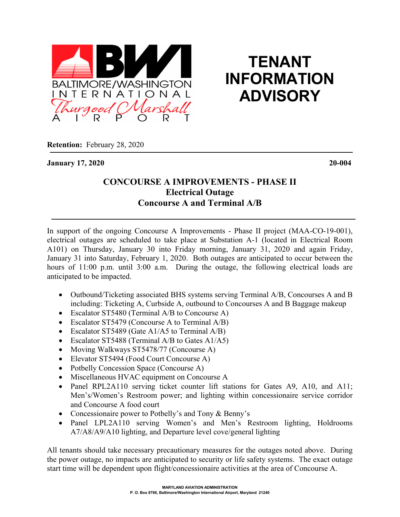

## **TENANT INFORMATION ADVISORY**

**Retention:** February 28, 2020

**January 17, 2020 20-004**

## **CONCOURSE A IMPROVEMENTS - PHASE II Electrical Outage Concourse A and Terminal A/B**

In support of the ongoing Concourse A Improvements - Phase II project (MAA-CO-19-001), electrical outages are scheduled to take place at Substation A-1 (located in Electrical Room A101) on Thursday, January 30 into Friday morning, January 31, 2020 and again Friday, January 31 into Saturday, February 1, 2020. Both outages are anticipated to occur between the hours of 11:00 p.m. until 3:00 a.m. During the outage, the following electrical loads are anticipated to be impacted.

- Outbound/Ticketing associated BHS systems serving Terminal A/B, Concourses A and B including: Ticketing A, Curbside A, outbound to Concourses A and B Baggage makeup
- Escalator ST5480 (Terminal A/B to Concourse A)
- Escalator ST5479 (Concourse A to Terminal A/B)
- Escalator ST5489 (Gate A1/A5 to Terminal A/B)
- Escalator ST5488 (Terminal A/B to Gates A1/A5)
- Moving Walkways ST5478/77 (Concourse A)
- Elevator ST5494 (Food Court Concourse A)
- Potbelly Concession Space (Concourse A)
- Miscellaneous HVAC equipment on Concourse A
- Panel RPL2A110 serving ticket counter lift stations for Gates A9, A10, and A11; Men's/Women's Restroom power; and lighting within concessionaire service corridor and Concourse A food court
- Concessionaire power to Potbelly's and Tony & Benny's
- Panel LPL2A110 serving Women's and Men's Restroom lighting, Holdrooms A7/A8/A9/A10 lighting, and Departure level cove/general lighting

All tenants should take necessary precautionary measures for the outages noted above. During the power outage, no impacts are anticipated to security or life safety systems. The exact outage start time will be dependent upon flight/concessionaire activities at the area of Concourse A.